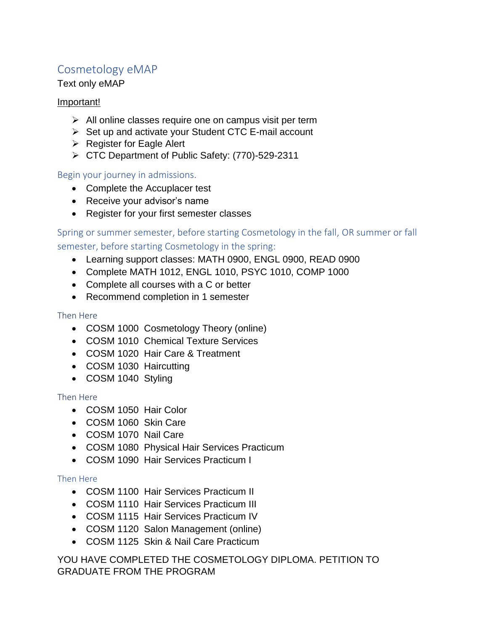# Cosmetology eMAP

## Text only eMAP

## Important!

- $\triangleright$  All online classes require one on campus visit per term
- ➢ Set up and activate your Student CTC E-mail account
- ➢ Register for Eagle Alert
- ➢ CTC Department of Public Safety: (770)-529-2311

## Begin your journey in admissions.

- Complete the Accuplacer test
- Receive your advisor's name
- Register for your first semester classes

Spring or summer semester, before starting Cosmetology in the fall, OR summer or fall semester, before starting Cosmetology in the spring:

- Learning support classes: MATH 0900, ENGL 0900, READ 0900
- Complete MATH 1012, ENGL 1010, PSYC 1010, COMP 1000
- Complete all courses with a C or better
- Recommend completion in 1 semester

### Then Here

- COSM 1000 Cosmetology Theory (online)
- COSM 1010 Chemical Texture Services
- COSM 1020 Hair Care & Treatment
- COSM 1030 Haircutting
- COSM 1040 Styling

### Then Here

- COSM 1050 Hair Color
- COSM 1060 Skin Care
- COSM 1070 Nail Care
- COSM 1080 Physical Hair Services Practicum
- COSM 1090 Hair Services Practicum I

### Then Here

- COSM 1100 Hair Services Practicum II
- COSM 1110 Hair Services Practicum III
- COSM 1115 Hair Services Practicum IV
- COSM 1120 Salon Management (online)
- COSM 1125 Skin & Nail Care Practicum

YOU HAVE COMPLETED THE COSMETOLOGY DIPLOMA. PETITION TO GRADUATE FROM THE PROGRAM